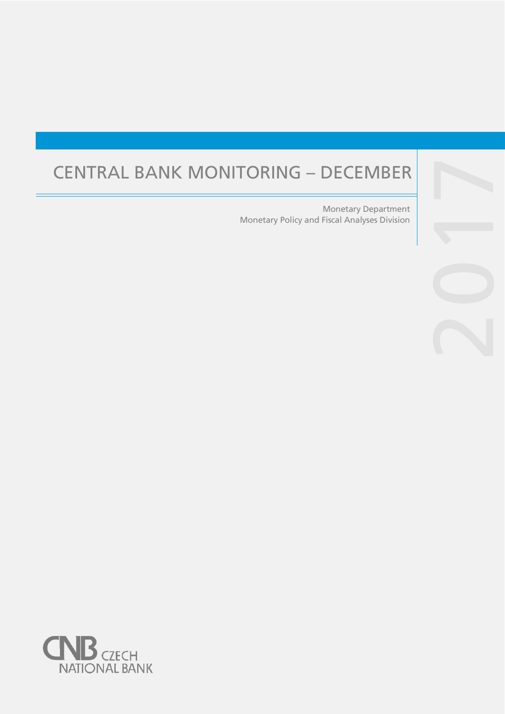# CENTRAL BANK MONITORING – DECEMBER

Monetary Policy and Fiscal Analyses Division Monetary Department

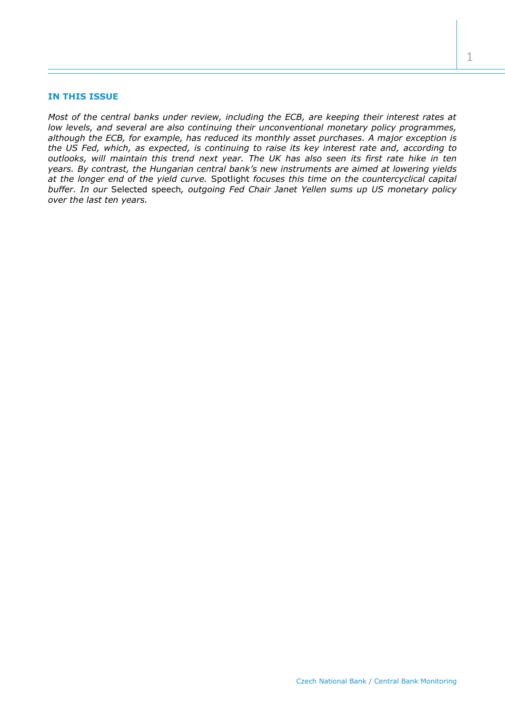## **IN THIS ISSUE**

*Most of the central banks under review, including the ECB, are keeping their interest rates at low levels, and several are also continuing their unconventional monetary policy programmes, although the ECB, for example, has reduced its monthly asset purchases. A major exception is the US Fed, which, as expected, is continuing to raise its key interest rate and, according to outlooks, will maintain this trend next year. The UK has also seen its first rate hike in ten years. By contrast, the Hungarian central bank's new instruments are aimed at lowering yields at the longer end of the yield curve.* Spotlight *focuses this time on the countercyclical capital buffer. In our* Selected speech*, outgoing Fed Chair Janet Yellen sums up US monetary policy over the last ten years.*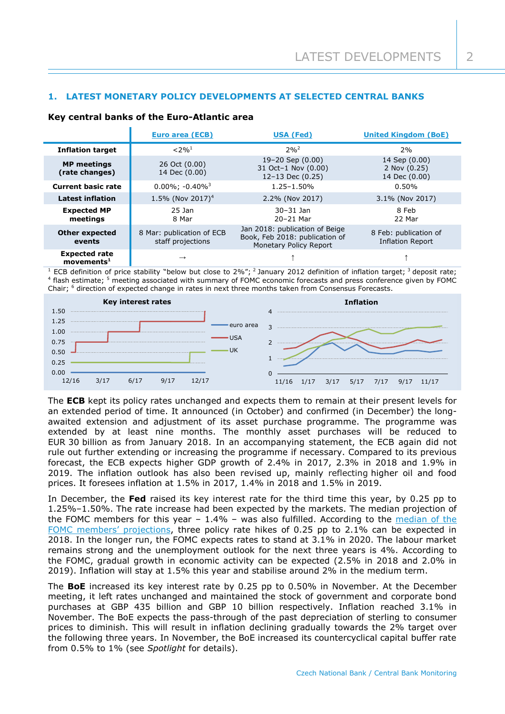# **1. LATEST MONETARY POLICY DEVELOPMENTS AT SELECTED CENTRAL BANKS**

#### **Key central banks of the Euro-Atlantic area**

|                                                       | Euro area (ECB)                                | USA (Fed)                                                                                  | <b>United Kingdom (BoE)</b>                    |
|-------------------------------------------------------|------------------------------------------------|--------------------------------------------------------------------------------------------|------------------------------------------------|
| <b>Inflation target</b>                               | $< 2\%$ <sup>1</sup>                           | $2%^{2}$                                                                                   | 2%                                             |
| <b>MP</b> meetings<br>(rate changes)                  | 26 Oct (0.00)<br>14 Dec (0.00)                 | $19 - 20$ Sep $(0.00)$<br>31 Oct-1 Nov (0.00)<br>$12-13$ Dec $(0.25)$                      | 14 Sep (0.00)<br>2 Nov (0.25)<br>14 Dec (0.00) |
| <b>Current basic rate</b>                             | $0.00\%$ ; $-0.40\%$ <sup>3</sup>              | $1.25 - 1.50%$                                                                             | 0.50%                                          |
| <b>Latest inflation</b>                               | 1.5% (Nov 2017) <sup>4</sup>                   | 2.2% (Nov 2017)                                                                            | 3.1% (Nov 2017)                                |
| <b>Expected MP</b><br>meetings                        | $25$ Jan<br>8 Mar                              | $30 - 31$ Jan<br>20-21 Mar                                                                 | 8 Feb<br>22 Mar                                |
| <b>Other expected</b><br>events                       | 8 Mar: publication of ECB<br>staff projections | Jan 2018: publication of Beige<br>Book, Feb 2018: publication of<br>Monetary Policy Report | 8 Feb: publication of<br>Inflation Report      |
| <b>Expected rate</b><br>$move$ movements <sup>1</sup> | $\rightarrow$                                  |                                                                                            |                                                |

ECB definition of price stability "below but close to 2%"; <sup>2</sup> January 2012 definition of inflation target; <sup>3</sup> deposit rate; 4 flash estimate; <sup>5</sup> meeting associated with summary of FOMC economic forecasts and press conference given by FOMC Chair; <sup>6</sup> direction of expected change in rates in next three months taken from Consensus Forecasts.



The **ECB** kept its policy rates unchanged and expects them to remain at their present levels for an extended period of time. It announced (in October) and confirmed (in December) the longawaited extension and adjustment of its asset purchase programme. The programme was extended by at least nine months. The monthly asset purchases will be reduced to EUR 30 billion as from January 2018. In an accompanying statement, the ECB again did not rule out further extending or increasing the programme if necessary. Compared to its previous forecast, the ECB expects higher GDP growth of 2.4% in 2017, 2.3% in 2018 and 1.9% in 2019. The inflation outlook has also been revised up, mainly reflecting higher oil and food prices. It foresees inflation at 1.5% in 2017, 1.4% in 2018 and 1.5% in 2019.

In December, the **Fed** raised its key interest rate for the third time this year, by 0.25 pp to 1.25%–1.50%. The rate increase had been expected by the markets. The median projection of the FOMC members for this year  $-1.4\%$  – was also fulfilled. According to the [median](https://www.federalreserve.gov/monetarypolicy/files/fomcprojtabl20171213.pdf) of the [FOMC members'](https://www.federalreserve.gov/monetarypolicy/files/fomcprojtabl20171213.pdf) projections, three policy rate hikes of 0.25 pp to 2.1% can be expected in 2018. In the longer run, the FOMC expects rates to stand at 3.1% in 2020. The labour market remains strong and the unemployment outlook for the next three years is 4%. According to the FOMC, gradual growth in economic activity can be expected (2.5% in 2018 and 2.0% in 2019). Inflation will stay at 1.5% this year and stabilise around 2% in the medium term.

The **BoE** increased its key interest rate by 0.25 pp to 0.50% in November. At the December meeting, it left rates unchanged and maintained the stock of government and corporate bond purchases at GBP 435 billion and GBP 10 billion respectively. Inflation reached 3.1% in November. The BoE expects the pass-through of the past depreciation of sterling to consumer prices to diminish. This will result in inflation declining gradually towards the 2% target over the following three years. In November, the BoE increased its countercyclical capital buffer rate from 0.5% to 1% (see *Spotlight* for details).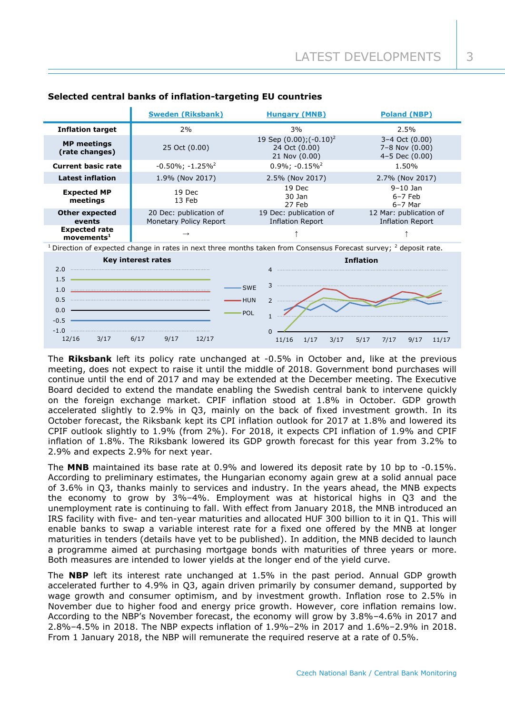|                                                   | <b>Sweden (Riksbank)</b>                         | <b>Hungary (MNB)</b>                                            | <b>Poland (NBP)</b>                                          |
|---------------------------------------------------|--------------------------------------------------|-----------------------------------------------------------------|--------------------------------------------------------------|
| <b>Inflation target</b>                           | 2%                                               | 3%                                                              | 2.5%                                                         |
| <b>MP</b> meetings<br>(rate changes)              | 25 Oct (0.00)                                    | 19 Sep $(0.00)$ ; $(-0.10)^2$<br>24 Oct (0.00)<br>21 Nov (0.00) | 3-4 Oct (0.00)<br>$7 - 8$ Nov $(0.00)$<br>$4-5$ Dec $(0.00)$ |
| <b>Current basic rate</b>                         | $-0.50\%$ ; $-1.25\%$ <sup>2</sup>               | $0.9\%$ ; $-0.15\%$ <sup>2</sup>                                | 1.50%                                                        |
| <b>Latest inflation</b>                           | 1.9% (Nov 2017)                                  | 2.5% (Nov 2017)                                                 | 2.7% (Nov 2017)                                              |
| <b>Expected MP</b><br>meetings                    | 19 Dec<br>13 Feb                                 | 19 Dec<br>30 Jan<br>27 Feb                                      | $9 - 10$ Jan<br>$6-7$ Feb<br>$6-7$ Mar                       |
| <b>Other expected</b><br>events                   | 20 Dec: publication of<br>Monetary Policy Report | 19 Dec: publication of<br><b>Inflation Report</b>               | 12 Mar: publication of<br>Inflation Report                   |
| <b>Expected rate</b><br>$move$ ments <sup>1</sup> | $\rightarrow$                                    |                                                                 |                                                              |

## **Selected central banks of inflation-targeting EU countries**

 $1$  Direction of expected change in rates in next three months taken from Consensus Forecast survey;  $2$  deposit rate.



The **Riksbank** left its policy rate unchanged at -0.5% in October and, like at the previous meeting, does not expect to raise it until the middle of 2018. Government bond purchases will continue until the end of 2017 and may be extended at the December meeting. The Executive Board decided to extend the mandate enabling the Swedish central bank to intervene quickly on the foreign exchange market. CPIF inflation stood at 1.8% in October. GDP growth accelerated slightly to 2.9% in Q3, mainly on the back of fixed investment growth. In its October forecast, the Riksbank kept its CPI inflation outlook for 2017 at 1.8% and lowered its CPIF outlook slightly to 1.9% (from 2%). For 2018, it expects CPI inflation of 1.9% and CPIF inflation of 1.8%. The Riksbank lowered its GDP growth forecast for this year from 3.2% to 2.9% and expects 2.9% for next year.

The **MNB** maintained its base rate at 0.9% and lowered its deposit rate by 10 bp to -0.15%. According to preliminary estimates, the Hungarian economy again grew at a solid annual pace of 3.6% in Q3, thanks mainly to services and industry. In the years ahead, the MNB expects the economy to grow by 3%–4%. Employment was at historical highs in Q3 and the unemployment rate is continuing to fall. With effect from January 2018, the MNB introduced an IRS facility with five- and ten-year maturities and allocated HUF 300 billion to it in Q1. This will enable banks to swap a variable interest rate for a fixed one offered by the MNB at longer maturities in tenders (details have yet to be published). In addition, the MNB decided to launch a programme aimed at purchasing mortgage bonds with maturities of three years or more. Both measures are intended to lower yields at the longer end of the yield curve.

The **NBP** left its interest rate unchanged at 1.5% in the past period. Annual GDP growth accelerated further to 4.9% in Q3, again driven primarily by consumer demand, supported by wage growth and consumer optimism, and by investment growth. Inflation rose to 2.5% in November due to higher food and energy price growth. However, core inflation remains low. According to the NBP's November forecast, the economy will grow by 3.8%–4.6% in 2017 and 2.8%–4.5% in 2018. The NBP expects inflation of 1.9%–2% in 2017 and 1.6%–2.9% in 2018. From 1 January 2018, the NBP will remunerate the required reserve at a rate of 0.5%.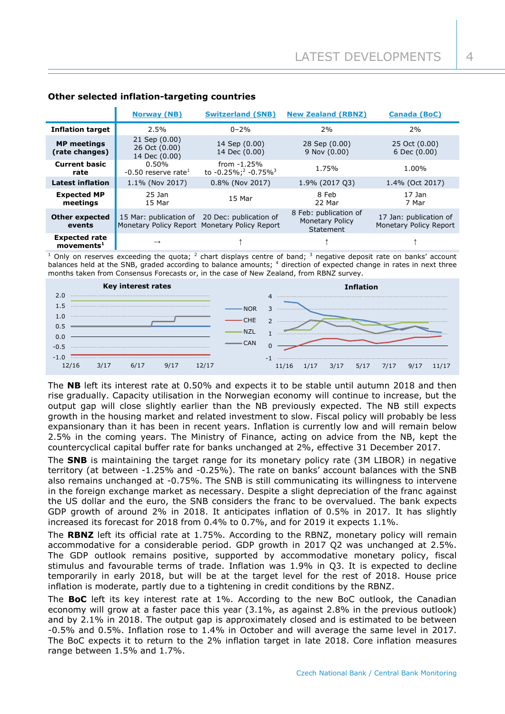|                                                | <b>Norway (NB)</b>                              | <b>Switzerland (SNB)</b>                                                                       | <b>New Zealand (RBNZ)</b>                                    | <b>Canada (BoC)</b>                              |
|------------------------------------------------|-------------------------------------------------|------------------------------------------------------------------------------------------------|--------------------------------------------------------------|--------------------------------------------------|
| <b>Inflation target</b>                        | 2.5%                                            | $0 - 2%$                                                                                       | 2%                                                           | 2%                                               |
| <b>MP</b> meetings<br>(rate changes)           | 21 Sep (0.00)<br>26 Oct (0.00)<br>14 Dec (0.00) | 14 Sep (0.00)<br>14 Dec (0.00)                                                                 | 28 Sep (0.00)<br>9 Nov (0.00)                                | 25 Oct (0.00)<br>6 Dec (0.00)                    |
| <b>Current basic</b><br>rate                   | $0.50\%$<br>$-0.50$ reserve rate <sup>1</sup>   | from $-1.25%$<br>to -0.25%; <sup>2</sup> -0.75% <sup>3</sup>                                   | 1.75%                                                        | 1.00%                                            |
| <b>Latest inflation</b>                        | 1.1% (Nov 2017)                                 | 0.8% (Nov 2017)                                                                                | 1.9% (2017 03)                                               | 1.4% (Oct 2017)                                  |
| <b>Expected MP</b><br>meetings                 | 25 Jan<br>15 Mar                                | 15 Mar                                                                                         | 8 Feb<br>22 Mar                                              | $17$ Jan<br>7 Mar                                |
| <b>Other expected</b><br>events                |                                                 | 15 Mar: publication of 20 Dec: publication of<br>Monetary Policy Report Monetary Policy Report | 8 Feb: publication of<br><b>Monetary Policy</b><br>Statement | 17 Jan: publication of<br>Monetary Policy Report |
| <b>Expected rate</b><br>moverents <sup>1</sup> | $\rightarrow$                                   |                                                                                                |                                                              |                                                  |

## **Other selected inflation-targeting countries**

 $1$  Only on reserves exceeding the quota;  $2$  chart displays centre of band;  $3$  negative deposit rate on banks' account balances held at the SNB, graded according to balance amounts; <sup>4</sup> direction of expected change in rates in next three months taken from Consensus Forecasts or, in the case of New Zealand, from RBNZ survey.



The **NB** left its interest rate at 0.50% and expects it to be stable until autumn 2018 and then rise gradually. Capacity utilisation in the Norwegian economy will continue to increase, but the output gap will close slightly earlier than the NB previously expected. The NB still expects growth in the housing market and related investment to slow. Fiscal policy will probably be less expansionary than it has been in recent years. Inflation is currently low and will remain below 2.5% in the coming years. The Ministry of Finance, acting on advice from the NB, kept the countercyclical capital buffer rate for banks unchanged at 2%, effective 31 December 2017.

The **SNB** is maintaining the target range for its monetary policy rate (3M LIBOR) in negative territory (at between -1.25% and -0.25%). The rate on banks' account balances with the SNB also remains unchanged at -0.75%. The SNB is still communicating its willingness to intervene in the foreign exchange market as necessary. Despite a slight depreciation of the franc against the US dollar and the euro, the SNB considers the franc to be overvalued. The bank expects GDP growth of around 2% in 2018. It anticipates inflation of 0.5% in 2017. It has slightly increased its forecast for 2018 from 0.4% to 0.7%, and for 2019 it expects 1.1%.

The **RBNZ** left its official rate at 1.75%. According to the RBNZ, monetary policy will remain accommodative for a considerable period. GDP growth in 2017 Q2 was unchanged at 2.5%. The GDP outlook remains positive, supported by accommodative monetary policy, fiscal stimulus and favourable terms of trade. Inflation was 1.9% in Q3. It is expected to decline temporarily in early 2018, but will be at the target level for the rest of 2018. House price inflation is moderate, partly due to a tightening in credit conditions by the RBNZ.

The **BoC** left its key interest rate at 1%. According to the new BoC outlook, the Canadian economy will grow at a faster pace this year (3.1%, as against 2.8% in the previous outlook) and by 2.1% in 2018. The output gap is approximately closed and is estimated to be between -0.5% and 0.5%. Inflation rose to 1.4% in October and will average the same level in 2017. The BoC expects it to return to the 2% inflation target in late 2018. Core inflation measures range between 1.5% and 1.7%.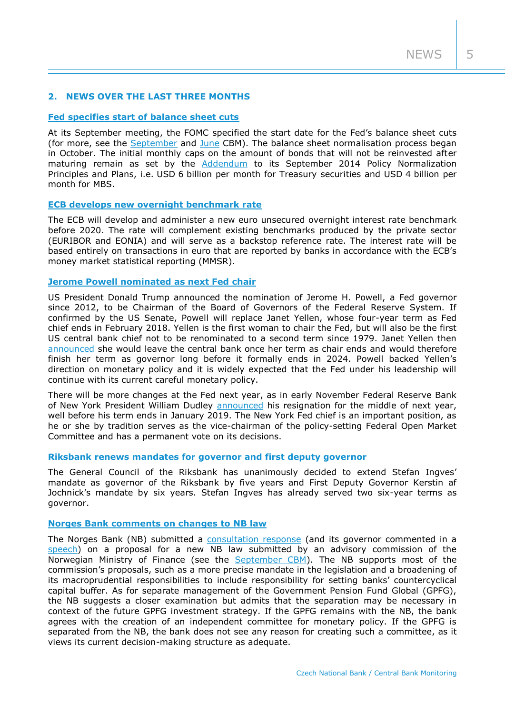# **2. NEWS OVER THE LAST THREE MONTHS**

## **[Fed specifies start of balance sheet cuts](https://www.federalreserve.gov/newsevents/pressreleases/monetary20170920a1.htm)**

At its September meeting, the FOMC specified the start date for the Fed's balance sheet cuts (for more, see the [September](http://www.cnb.cz/miranda2/export/sites/www.cnb.cz/en/monetary_policy/monitoring/download/1703_cbm.pdf) and [June](http://www.cnb.cz/miranda2/export/sites/www.cnb.cz/en/monetary_policy/monitoring/download/1702_cbm.pdf) CBM). The balance sheet normalisation process began in October. The initial monthly caps on the amount of bonds that will not be reinvested after maturing remain as set by the [Addendum](https://www.federalreserve.gov/newsevents/pressreleases/files/monetary20170614c1.pdf) to its September 2014 Policy Normalization Principles and Plans, i.e. USD 6 billion per month for Treasury securities and USD 4 billion per month for MBS.

## **[ECB develops new overnight benchmark rate](https://www.ecb.europa.eu/press/pr/date/2017/html/ecb.pr170921.en.html)**

The ECB will develop and administer a new euro unsecured overnight interest rate benchmark before 2020. The rate will complement existing benchmarks produced by the private sector (EURIBOR and EONIA) and will serve as a backstop reference rate. The interest rate will be based entirely on transactions in euro that are reported by banks in accordance with the ECB's money market statistical reporting (MMSR).

## **[Jerome Powell nominated as next Fed chair](https://www.whitehouse.gov/the-press-office/2017/11/02/president-donald-j-trump-announces-nomination-jerome-powell-be-chairman)**

US President Donald Trump announced the nomination of Jerome H. Powell, a Fed governor since 2012, to be Chairman of the Board of Governors of the Federal Reserve System. If confirmed by the US Senate, Powell will replace Janet Yellen, whose four-year term as Fed chief ends in February 2018. Yellen is the first woman to chair the Fed, but will also be the first US central bank chief not to be renominated to a second term since 1979. Janet Yellen then [announced](https://www.federalreserve.gov/newsevents/pressreleases/files/other20171120a1.pdf) she would leave the central bank once her term as chair ends and would therefore finish her term as governor long before it formally ends in 2024. Powell backed Yellen's direction on monetary policy and it is widely expected that the Fed under his leadership will continue with its current careful monetary policy.

There will be more changes at the Fed next year, as in early November Federal Reserve Bank of New York President William Dudley **announced** his resignation for the middle of next year, well before his term ends in January 2019. The New York Fed chief is an important position, as he or she by tradition serves as the vice-chairman of the policy-setting Federal Open Market Committee and has a permanent vote on its decisions.

#### **[Riksbank renews mandates for governor and first deputy governor](http://www.riksbank.se/en/Press-and-published/Press-Releases/2017/prm_170929/)**

The General Council of the Riksbank has unanimously decided to extend Stefan Ingves' mandate as governor of the Riksbank by five years and First Deputy Governor Kerstin af Jochnick's mandate by six years. Stefan Ingves has already served two six-year terms as governor.

## **[Norges Bank comments on changes to](http://www.norges-bank.no/en/Published/News-archive/2017/2017-10-26-horingsuttalelse/) NB law**

The Norges Bank (NB) submitted a [consultation response](http://www.norges-bank.no/en/Published/News-archive/2017/2017-10-26-horingsuttalelse/) (and its governor commented in a [speech\)](http://www.norges-bank.no/en/Published/Speeches/2017/2017-10-26-cme/) on a proposal for a new NB law submitted by an advisory commission of the Norwegian Ministry of Finance (see the [September CBM\)](http://www.cnb.cz/miranda2/export/sites/www.cnb.cz/en/monetary_policy/monitoring/download/1703_cbm.pdf). The NB supports most of the commission's proposals, such as a more precise mandate in the legislation and a broadening of its macroprudential responsibilities to include responsibility for setting banks' countercyclical capital buffer. As for separate management of the Government Pension Fund Global (GPFG), the NB suggests a closer examination but admits that the separation may be necessary in context of the future GPFG investment strategy. If the GPFG remains with the NB, the bank agrees with the creation of an independent committee for monetary policy. If the GPFG is separated from the NB, the bank does not see any reason for creating such a committee, as it views its current decision-making structure as adequate.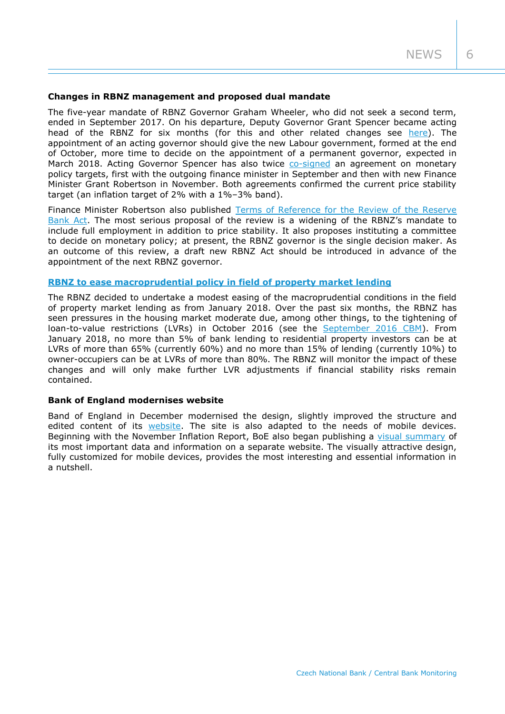#### **Changes in RBNZ management and proposed dual mandate**

The five-year mandate of RBNZ Governor Graham Wheeler, who did not seek a second term, ended in September 2017. On his departure, Deputy Governor Grant Spencer became acting head of the RBNZ for six months (for this and other related changes see [here\)](https://www.rbnz.govt.nz/news/2017/08/rbnz-appoints-assistant-governor-head-of-operations). The appointment of an acting governor should give the new Labour government, formed at the end of October, more time to decide on the appointment of a permanent governor, expected in March 2018. Acting Governor Spencer has also twice [co-signed](https://www.rbnz.govt.nz/news/2017/11/renewed-policy-targets-agreement-signed) an agreement on monetary policy targets, first with the outgoing finance minister in September and then with new Finance Minister Grant Robertson in November. Both agreements confirmed the current price stability target (an inflation target of 2% with a 1%–3% band).

Finance Minister Robertson also published Terms of Reference for the Review of the Reserve [Bank Act.](http://www.treasury.govt.nz/publications/reviews-consultation/rbnz-act-1989/pdfs/rbnz-rev-tor-nov17.pdf) The most serious proposal of the review is a widening of the RBNZ's mandate to include full employment in addition to price stability. It also proposes instituting a committee to decide on monetary policy; at present, the RBNZ governor is the single decision maker. As an outcome of this review, a draft new RBNZ Act should be introduced in advance of the appointment of the next RBNZ governor.

## **[RBNZ to ease macroprudential policy in field of property market lending](https://www.rbnz.govt.nz/news/2017/11/reserve-bank-to-ease-lvr-restrictions)**

The RBNZ decided to undertake a modest easing of the macroprudential conditions in the field of property market lending as from January 2018. Over the past six months, the RBNZ has seen pressures in the housing market moderate due, among other things, to the tightening of loan-to-value restrictions (LVRs) in October 2016 (see the [September 2016 CBM\)](http://www.cnb.cz/miranda2/export/sites/www.cnb.cz/en/monetary_policy/monitoring/download/1603_cbm.pdf). From January 2018, no more than 5% of bank lending to residential property investors can be at LVRs of more than 65% (currently 60%) and no more than 15% of lending (currently 10%) to owner-occupiers can be at LVRs of more than 80%. The RBNZ will monitor the impact of these changes and will only make further LVR adjustments if financial stability risks remain contained.

#### **Bank of England modernises website**

Band of England in December modernised the design, slightly improved the structure and edited content of its [website.](https://www.federalreserve.gov/) The site is also adapted to the needs of mobile devices. Beginning with the November Inflation Report, BoE also began publishing a [visual summary](https://www.inflationreport.co.uk/) of its most important data and information on a separate website. The visually attractive design, fully customized for mobile devices, provides the most interesting and essential information in a nutshell.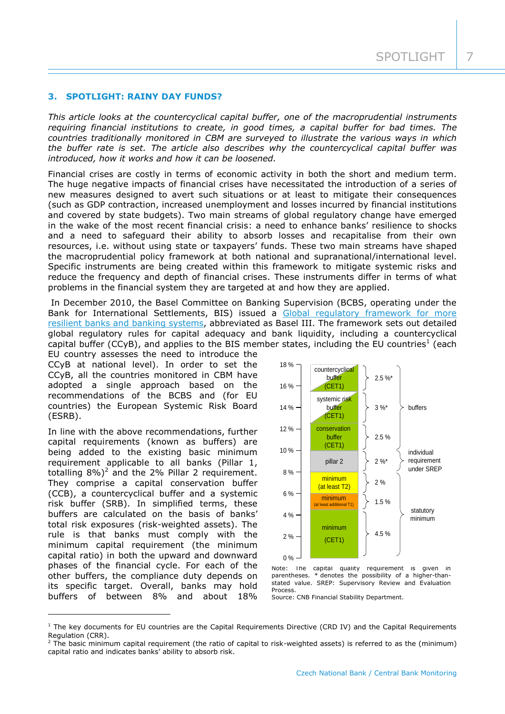#### **3. SPOTLIGHT: RAINY DAY FUNDS?**

*This article looks at the countercyclical capital buffer, one of the macroprudential instruments requiring financial institutions to create, in good times, a capital buffer for bad times. The countries traditionally monitored in CBM are surveyed to illustrate the various ways in which the buffer rate is set. The article also describes why the countercyclical capital buffer was introduced, how it works and how it can be loosened.*

Financial crises are costly in terms of economic activity in both the short and medium term. The huge negative impacts of financial crises have necessitated the introduction of a series of new measures designed to avert such situations or at least to mitigate their consequences (such as GDP contraction, increased unemployment and losses incurred by financial institutions and covered by state budgets). Two main streams of global regulatory change have emerged in the wake of the most recent financial crisis: a need to enhance banks' resilience to shocks and a need to safeguard their ability to absorb losses and recapitalise from their own resources, i.e. without using state or taxpayers' funds. These two main streams have shaped the macroprudential policy framework at both national and supranational/international level. Specific instruments are being created within this framework to mitigate systemic risks and reduce the frequency and depth of financial crises. These instruments differ in terms of what problems in the financial system they are targeted at and how they are applied.

In December 2010, the Basel Committee on Banking Supervision (BCBS, operating under the Bank for International Settlements, BIS) issued a Global regulatory framework for more [resilient banks and banking systems,](https://www.bis.org/publ/bcbs189_dec2010.htm) abbreviated as Basel III. The framework sets out detailed global regulatory rules for capital adequacy and bank liquidity, including a countercyclical capital buffer (CCyB), and applies to the BIS member states, including the EU countries<sup>1</sup> (each

EU country assesses the need to introduce the CCyB at national level). In order to set the CCyB, all the countries monitored in CBM have adopted a single approach based on the recommendations of the BCBS and (for EU countries) the European Systemic Risk Board (ESRB).

In line with the above recommendations, further capital requirements (known as buffers) are being added to the existing basic minimum requirement applicable to all banks (Pillar 1, totalling  $8\%)^2$  and the 2% Pillar 2 requirement. They comprise a capital conservation buffer (CCB), a countercyclical buffer and a systemic risk buffer (SRB). In simplified terms, these buffers are calculated on the basis of banks' total risk exposures (risk-weighted assets). The rule is that banks must comply with the minimum capital requirement (the minimum capital ratio) in both the upward and downward phases of the financial cycle. For each of the other buffers, the compliance duty depends on its specific target. Overall, banks may hold buffers of between 8% and about 18%

-



Note: The capital quality requirement is given in parentheses. \* denotes the possibility of a higher-thanstated value. SREP: Supervisory Review and Evaluation Process.

Source: CNB Financial Stability Department.

 $1$  The key documents for EU countries are the Capital Requirements Directive (CRD IV) and the Capital Requirements Regulation (CRR).

 $2$  The basic minimum capital requirement (the ratio of capital to risk-weighted assets) is referred to as the (minimum) capital ratio and indicates banks' ability to absorb risk.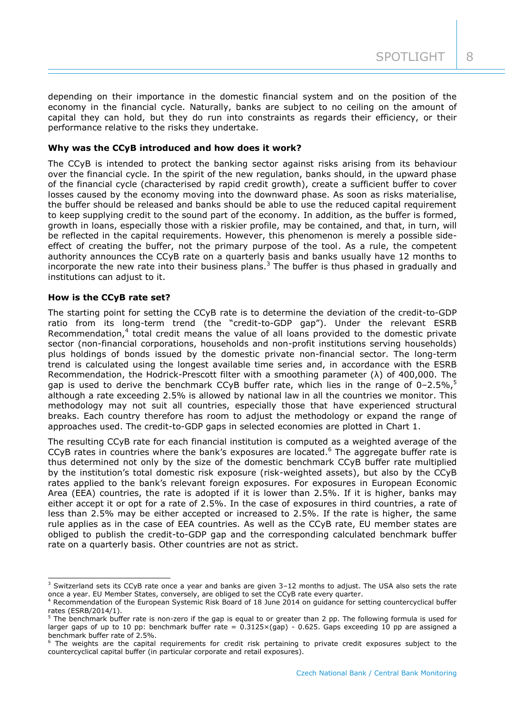depending on their importance in the domestic financial system and on the position of the economy in the financial cycle. Naturally, banks are subject to no ceiling on the amount of capital they can hold, but they do run into constraints as regards their efficiency, or their performance relative to the risks they undertake.

## **Why was the CCyB introduced and how does it work?**

The CCyB is intended to protect the banking sector against risks arising from its behaviour over the financial cycle. In the spirit of the new regulation, banks should, in the upward phase of the financial cycle (characterised by rapid credit growth), create a sufficient buffer to cover losses caused by the economy moving into the downward phase. As soon as risks materialise, the buffer should be released and banks should be able to use the reduced capital requirement to keep supplying credit to the sound part of the economy. In addition, as the buffer is formed, growth in loans, especially those with a riskier profile, may be contained, and that, in turn, will be reflected in the capital requirements. However, this phenomenon is merely a possible sideeffect of creating the buffer, not the primary purpose of the tool. As a rule, the competent authority announces the CCyB rate on a quarterly basis and banks usually have 12 months to incorporate the new rate into their business plans.<sup>3</sup> The buffer is thus phased in gradually and institutions can adjust to it.

## **How is the CCyB rate set?**

-

The starting point for setting the CCyB rate is to determine the deviation of the credit-to-GDP ratio from its long-term trend (the "credit-to-GDP gap"). Under the relevant ESRB Recommendation, $4$  total credit means the value of all loans provided to the domestic private sector (non-financial corporations, households and non-profit institutions serving households) plus holdings of bonds issued by the domestic private non-financial sector. The long-term trend is calculated using the longest available time series and, in accordance with the ESRB Recommendation, the Hodrick-Prescott filter with a smoothing parameter  $(\lambda)$  of 400,000. The gap is used to derive the benchmark CCyB buffer rate, which lies in the range of 0-2.5%,<sup>5</sup> although a rate exceeding 2.5% is allowed by national law in all the countries we monitor. This methodology may not suit all countries, especially those that have experienced structural breaks. Each country therefore has room to adjust the methodology or expand the range of approaches used. The credit-to-GDP gaps in selected economies are plotted in Chart 1.

The resulting CCyB rate for each financial institution is computed as a weighted average of the CCyB rates in countries where the bank's exposures are located.<sup>6</sup> The aggregate buffer rate is thus determined not only by the size of the domestic benchmark CCyB buffer rate multiplied by the institution's total domestic risk exposure (risk-weighted assets), but also by the CCyB rates applied to the bank's relevant foreign exposures. For exposures in European Economic Area (EEA) countries, the rate is adopted if it is lower than 2.5%. If it is higher, banks may either accept it or opt for a rate of 2.5%. In the case of exposures in third countries, a rate of less than 2.5% may be either accepted or increased to 2.5%. If the rate is higher, the same rule applies as in the case of EEA countries. As well as the CCyB rate, EU member states are obliged to publish the credit-to-GDP gap and the corresponding calculated benchmark buffer rate on a quarterly basis. Other countries are not as strict.

 $3$  Switzerland sets its CCyB rate once a year and banks are given  $3-12$  months to adjust. The USA also sets the rate once a year. EU Member States, conversely, are obliged to set the CCyB rate every quarter.

<sup>4</sup> Recommendation of the European Systemic Risk Board of 18 June 2014 on guidance for setting countercyclical buffer rates (ESRB/2014/1).

 $<sup>5</sup>$  The benchmark buffer rate is non-zero if the gap is equal to or greater than 2 pp. The following formula is used for</sup> larger gaps of up to 10 pp: benchmark buffer rate =  $0.3125 \times (gap)$  - 0.625. Gaps exceeding 10 pp are assigned a benchmark buffer rate of 2.5%.

<sup>&</sup>lt;sup>6</sup> The weights are the capital requirements for credit risk pertaining to private credit exposures subject to the countercyclical capital buffer (in particular corporate and retail exposures).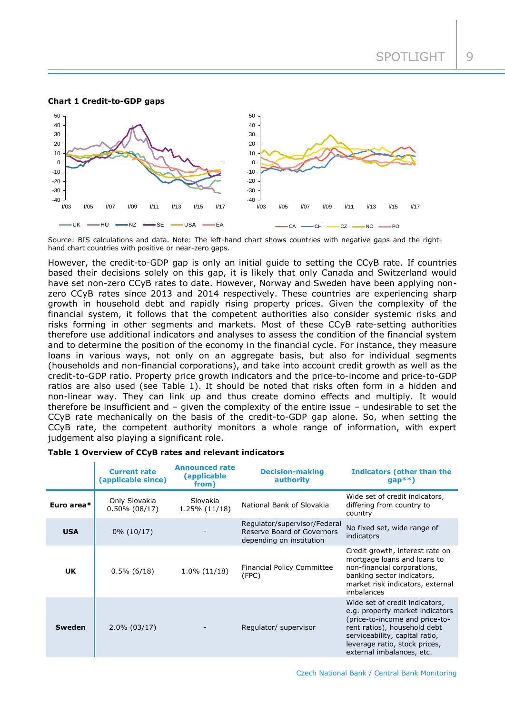#### **Chart 1 Credit-to-GDP gaps**



Source: BIS calculations and data. Note: The left-hand chart shows countries with negative gaps and the righthand chart countries with positive or near-zero gaps.

However, the credit-to-GDP gap is only an initial guide to setting the CCyB rate. If countries based their decisions solely on this gap, it is likely that only Canada and Switzerland would have set non-zero CCyB rates to date. However, Norway and Sweden have been applying nonzero CCyB rates since 2013 and 2014 respectively. These countries are experiencing sharp growth in household debt and rapidly rising property prices. Given the complexity of the financial system, it follows that the competent authorities also consider systemic risks and risks forming in other segments and markets. Most of these CCyB rate-setting authorities therefore use additional indicators and analyses to assess the condition of the financial system and to determine the position of the economy in the financial cycle. For instance, they measure loans in various ways, not only on an aggregate basis, but also for individual segments (households and non-financial corporations), and take into account credit growth as well as the credit-to-GDP ratio. Property price growth indicators and the price-to-income and price-to-GDP ratios are also used (see Table 1). It should be noted that risks often form in a hidden and non-linear way. They can link up and thus create domino effects and multiply. It would therefore be insufficient and – given the complexity of the entire issue – undesirable to set the CCyB rate mechanically on the basis of the credit-to-GDP gap alone. So, when setting the CCyB rate, the competent authority monitors a whole range of information, with expert judgement also playing a significant role.

#### **Table 1 Overview of CCyB rates and relevant indicators**

|            | <b>Current rate</b><br>(applicable since) | <b>Announced rate</b><br>(applicable<br>from) | <b>Decision-making</b><br>authority                                                    | <b>Indicators (other than the</b><br>$gap**$                                                                                                                                                                                        |
|------------|-------------------------------------------|-----------------------------------------------|----------------------------------------------------------------------------------------|-------------------------------------------------------------------------------------------------------------------------------------------------------------------------------------------------------------------------------------|
| Euro area* | Only Slovakia<br>$0.50\%$ (08/17)         | Slovakia<br>$1.25\%$ (11/18)                  | National Bank of Slovakia                                                              | Wide set of credit indicators,<br>differing from country to<br>country                                                                                                                                                              |
| <b>USA</b> | $0\%$ (10/17)                             |                                               | Regulator/supervisor/Federal<br>Reserve Board of Governors<br>depending on institution | No fixed set, wide range of<br>indicators                                                                                                                                                                                           |
| <b>UK</b>  | $0.5\%$ (6/18)                            | $1.0\%$ (11/18)                               | <b>Financial Policy Committee</b><br>(FPC)                                             | Credit growth, interest rate on<br>mortgage loans and loans to<br>non-financial corporations,<br>banking sector indicators,<br>market risk indicators, external<br>imbalances                                                       |
| Sweden     | $2.0\%$ (03/17)                           |                                               | Regulator/ supervisor                                                                  | Wide set of credit indicators,<br>e.g. property market indicators<br>(price-to-income and price-to-<br>rent ratios), household debt<br>serviceability, capital ratio,<br>leverage ratio, stock prices,<br>external imbalances, etc. |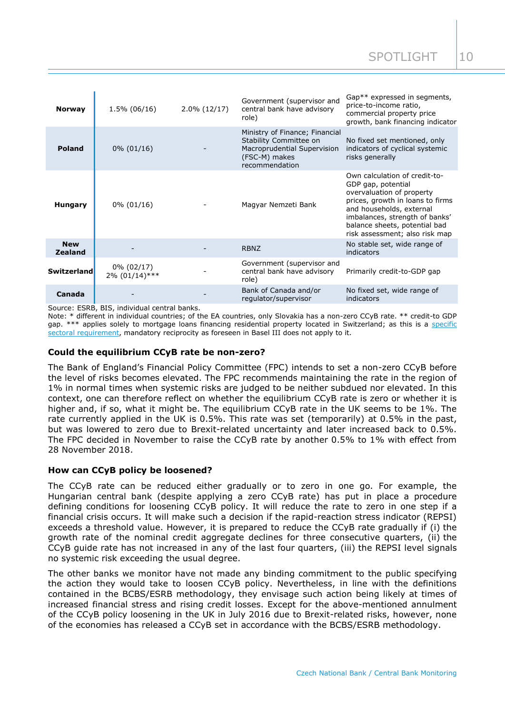| <b>Norway</b>                | $1.5\%$ (06/16)                   | $2.0\%$ (12/17) | Government (supervisor and<br>central bank have advisory<br>role)                                                          | Gap <sup>**</sup> expressed in segments,<br>price-to-income ratio,<br>commercial property price<br>growth, bank financing indicator                                                                                                                   |
|------------------------------|-----------------------------------|-----------------|----------------------------------------------------------------------------------------------------------------------------|-------------------------------------------------------------------------------------------------------------------------------------------------------------------------------------------------------------------------------------------------------|
| <b>Poland</b>                | $0\% (01/16)$                     |                 | Ministry of Finance; Financial<br>Stability Committee on<br>Macroprudential Supervision<br>(FSC-M) makes<br>recommendation | No fixed set mentioned, only<br>indicators of cyclical systemic<br>risks generally                                                                                                                                                                    |
| <b>Hungary</b>               | $0\% (01/16)$                     |                 | Magyar Nemzeti Bank                                                                                                        | Own calculation of credit-to-<br>GDP gap, potential<br>overvaluation of property<br>prices, growth in loans to firms<br>and households, external<br>imbalances, strength of banks'<br>balance sheets, potential bad<br>risk assessment; also risk map |
| <b>New</b><br><b>Zealand</b> |                                   |                 | <b>RBNZ</b>                                                                                                                | No stable set, wide range of<br>indicators                                                                                                                                                                                                            |
| <b>Switzerland</b>           | $0\% (02/17)$<br>$2\%$ (01/14)*** |                 | Government (supervisor and<br>central bank have advisory<br>role)                                                          | Primarily credit-to-GDP gap                                                                                                                                                                                                                           |
| Canada                       |                                   |                 | Bank of Canada and/or<br>regulator/supervisor                                                                              | No fixed set, wide range of<br>indicators                                                                                                                                                                                                             |

Source: ESRB, BIS, individual central banks.

Note: \* different in individual countries; of the EA countries, only Slovakia has a non-zero CCyB rate. \*\* credit-to GDP gap. \*\*\* applies solely to mortgage loans financing residential property located in Switzerland; as this is a [specific](https://www.snb.ch/en/mmr/reference/ccb_20170224_basel_III_countercyclical_capital_buffer/source/ccb_20170224_basel_III_countercyclical_capital_buffer.en.pdf)  [sectoral requirement,](https://www.snb.ch/en/mmr/reference/ccb_20170224_basel_III_countercyclical_capital_buffer/source/ccb_20170224_basel_III_countercyclical_capital_buffer.en.pdf) mandatory reciprocity as foreseen in Basel III does not apply to it.

## **Could the equilibrium CCyB rate be non-zero?**

The Bank of England's Financial Policy Committee (FPC) intends to set a non-zero CCyB before the level of risks becomes elevated. The FPC recommends maintaining the rate in the region of 1% in normal times when systemic risks are judged to be neither subdued nor elevated. In this context, one can therefore reflect on whether the equilibrium CCyB rate is zero or whether it is higher and, if so, what it might be. The equilibrium CCyB rate in the UK seems to be 1%. The rate currently applied in the UK is 0.5%. This rate was set (temporarily) at 0.5% in the past, but was lowered to zero due to Brexit-related uncertainty and later increased back to 0.5%. The FPC decided in November to raise the CCyB rate by another 0.5% to 1% with effect from 28 November 2018.

#### **How can CCyB policy be loosened?**

The CCyB rate can be reduced either gradually or to zero in one go. For example, the Hungarian central bank (despite applying a zero CCyB rate) has put in place a procedure defining conditions for loosening CCyB policy. It will reduce the rate to zero in one step if a financial crisis occurs. It will make such a decision if the rapid-reaction stress indicator (REPSI) exceeds a threshold value. However, it is prepared to reduce the CCyB rate gradually if (i) the growth rate of the nominal credit aggregate declines for three consecutive quarters, (ii) the CCyB guide rate has not increased in any of the last four quarters, (iii) the REPSI level signals no systemic risk exceeding the usual degree.

The other banks we monitor have not made any binding commitment to the public specifying the action they would take to loosen CCyB policy. Nevertheless, in line with the definitions contained in the BCBS/ESRB methodology, they envisage such action being likely at times of increased financial stress and rising credit losses. Except for the above-mentioned annulment of the CCyB policy loosening in the UK in July 2016 due to Brexit-related risks, however, none of the economies has released a CCyB set in accordance with the BCBS/ESRB methodology.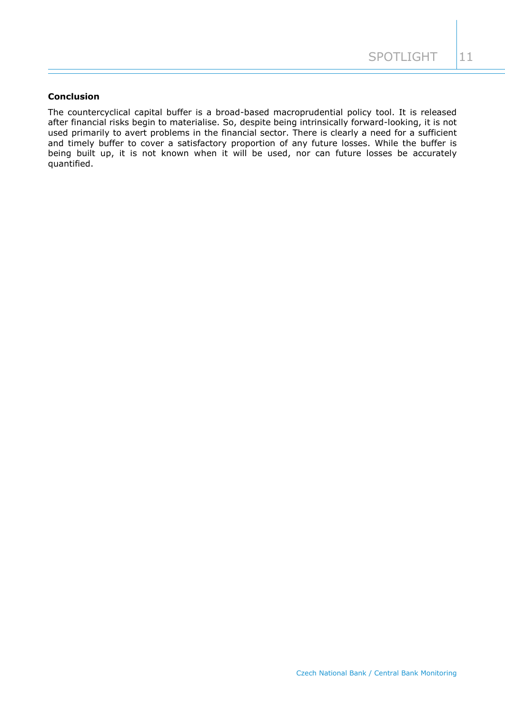## **Conclusion**

The countercyclical capital buffer is a broad-based macroprudential policy tool. It is released after financial risks begin to materialise. So, despite being intrinsically forward-looking, it is not used primarily to avert problems in the financial sector. There is clearly a need for a sufficient and timely buffer to cover a satisfactory proportion of any future losses. While the buffer is being built up, it is not known when it will be used, nor can future losses be accurately quantified.